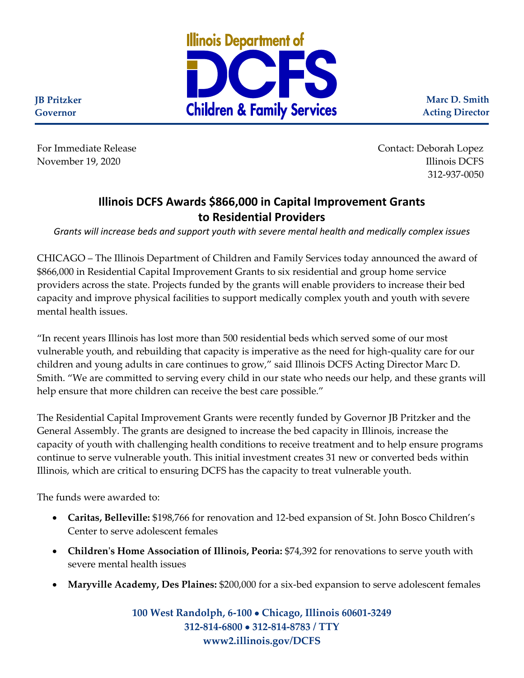

**Marc D. Smith Acting Director**

**JB Pritzker Governor**

For Immediate Release Contact: Deborah Lopez November 19, 2020 **Illinois** DCFS **Illinois** DCFS 312-937-0050

# **Illinois DCFS Awards \$866,000 in Capital Improvement Grants to Residential Providers**

*Grants will increase beds and support youth with severe mental health and medically complex issues*

CHICAGO – The Illinois Department of Children and Family Services today announced the award of \$866,000 in Residential Capital Improvement Grants to six residential and group home service providers across the state. Projects funded by the grants will enable providers to increase their bed capacity and improve physical facilities to support medically complex youth and youth with severe mental health issues.

"In recent years Illinois has lost more than 500 residential beds which served some of our most vulnerable youth, and rebuilding that capacity is imperative as the need for high-quality care for our children and young adults in care continues to grow," said Illinois DCFS Acting Director Marc D. Smith. "We are committed to serving every child in our state who needs our help, and these grants will help ensure that more children can receive the best care possible."

The Residential Capital Improvement Grants were recently funded by Governor JB Pritzker and the General Assembly. The grants are designed to increase the bed capacity in Illinois, increase the capacity of youth with challenging health conditions to receive treatment and to help ensure programs continue to serve vulnerable youth. This initial investment creates 31 new or converted beds within Illinois, which are critical to ensuring DCFS has the capacity to treat vulnerable youth.

The funds were awarded to:

- **Caritas, Belleville:** \$198,766 for renovation and 12-bed expansion of St. John Bosco Children's Center to serve adolescent females
- **Children's Home Association of Illinois, Peoria:** \$74,392 for renovations to serve youth with severe mental health issues
- **Maryville Academy, Des Plaines:** \$200,000 for a six-bed expansion to serve adolescent females

**100 West Randolph, 6-100** • **Chicago, Illinois 60601-3249 312-814-6800** • **312-814-8783 / TTY www2.illinois.gov/DCFS**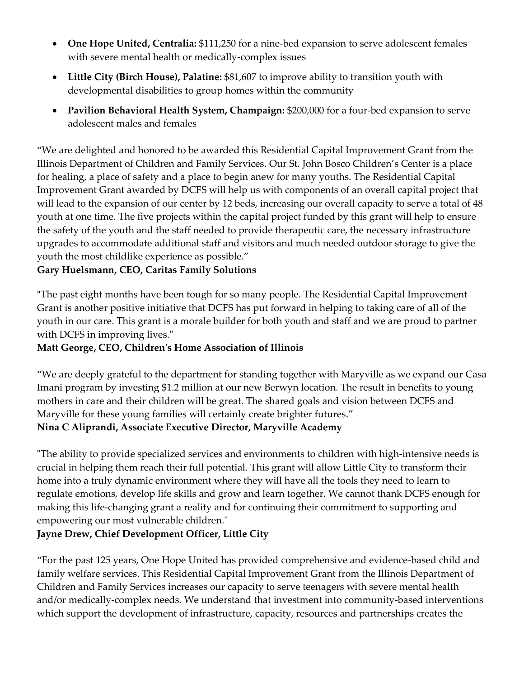- **One Hope United, Centralia:** \$111,250 for a nine-bed expansion to serve adolescent females with severe mental health or medically-complex issues
- **Little City (Birch House), Palatine:** \$81,607 to improve ability to transition youth with developmental disabilities to group homes within the community
- **Pavilion Behavioral Health System, Champaign:** \$200,000 for a four-bed expansion to serve adolescent males and females

"We are delighted and honored to be awarded this Residential Capital Improvement Grant from the Illinois Department of Children and Family Services. Our St. John Bosco Children's Center is a place for healing, a place of safety and a place to begin anew for many youths. The Residential Capital Improvement Grant awarded by DCFS will help us with components of an overall capital project that will lead to the expansion of our center by 12 beds, increasing our overall capacity to serve a total of 48 youth at one time. The five projects within the capital project funded by this grant will help to ensure the safety of the youth and the staff needed to provide therapeutic care, the necessary infrastructure upgrades to accommodate additional staff and visitors and much needed outdoor storage to give the youth the most childlike experience as possible."

## **Gary Huelsmann, CEO, Caritas Family Solutions**

"The past eight months have been tough for so many people. The Residential Capital Improvement Grant is another positive initiative that DCFS has put forward in helping to taking care of all of the youth in our care. This grant is a morale builder for both youth and staff and we are proud to partner with DCFS in improving lives."

## **Matt George, CEO, Children's Home Association of Illinois**

"We are deeply grateful to the department for standing together with Maryville as we expand our Casa Imani program by investing \$1.2 million at our new Berwyn location. The result in benefits to young mothers in care and their children will be great. The shared goals and vision between DCFS and Maryville for these young families will certainly create brighter futures." **Nina C Aliprandi, Associate Executive Director, Maryville Academy**

"The ability to provide specialized services and environments to children with high-intensive needs is crucial in helping them reach their full potential. This grant will allow Little City to transform their home into a truly dynamic environment where they will have all the tools they need to learn to regulate emotions, develop life skills and grow and learn together. We cannot thank DCFS enough for making this life-changing grant a reality and for continuing their commitment to supporting and empowering our most vulnerable children."

## **Jayne Drew, Chief Development Officer, Little City**

"For the past 125 years, One Hope United has provided comprehensive and evidence-based child and family welfare services. This Residential Capital Improvement Grant from the Illinois Department of Children and Family Services increases our capacity to serve teenagers with severe mental health and/or medically-complex needs. We understand that investment into community-based interventions which support the development of infrastructure, capacity, resources and partnerships creates the